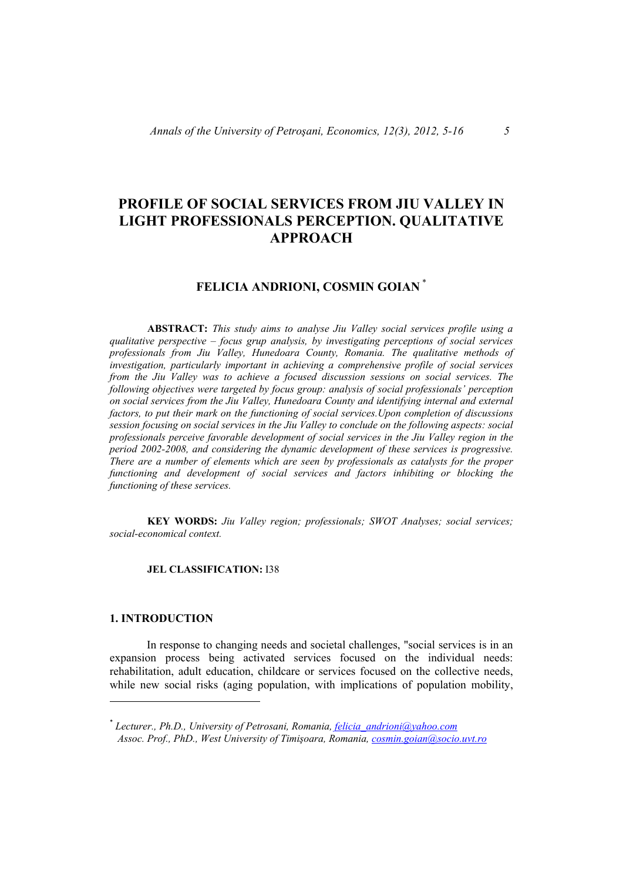# **PROFILE OF SOCIAL SERVICES FROM JIU VALLEY IN LIGHT PROFESSIONALS PERCEPTION. QUALITATIVE APPROACH**

# **FELICIA ANDRIONI, COSMIN GOIAN** \*

**ABSTRACT:** *This study aims to analyse Jiu Valley social services profile using a qualitative perspective – focus grup analysis, by investigating perceptions of social services professionals from Jiu Valley, Hunedoara County, Romania. The qualitative methods of investigation, particularly important in achieving a comprehensive profile of social services from the Jiu Valley was to achieve a focused discussion sessions on social services. The following objectives were targeted by focus group: analysis of social professionals' perception on social services from the Jiu Valley, Hunedoara County and identifying internal and external factors, to put their mark on the functioning of social services.Upon completion of discussions session focusing on social services in the Jiu Valley to conclude on the following aspects: social professionals perceive favorable development of social services in the Jiu Valley region in the period 2002-2008, and considering the dynamic development of these services is progressive. There are a number of elements which are seen by professionals as catalysts for the proper functioning and development of social services and factors inhibiting or blocking the functioning of these services.*

 **KEY WORDS:** *Jiu Valley region; professionals; SWOT Analyses; social services; social-economical context.*

### **JEL CLASSIFICATION:** I38

### **1. INTRODUCTION**

In response to changing needs and societal challenges, "social services is in an expansion process being activated services focused on the individual needs: rehabilitation, adult education, childcare or services focused on the collective needs, while new social risks (aging population, with implications of population mobility,

<sup>\*</sup> *Lecturer., Ph.D., University of Petrosani, Romania, felicia\_andrioni@yahoo.com Assoc. Prof., PhD., West University of Timişoara, Romania, cosmin.goian@socio.uvt.ro*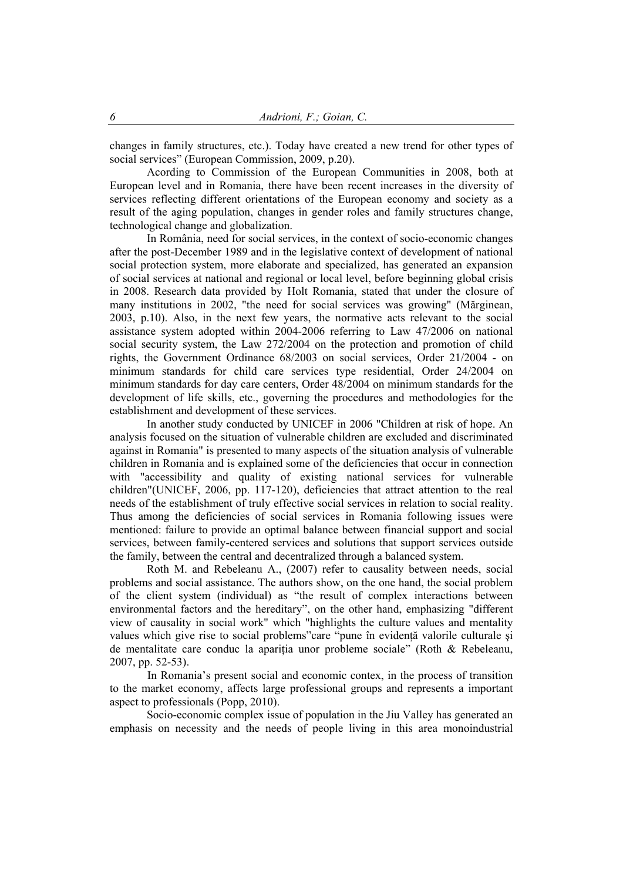changes in family structures, etc.). Today have created a new trend for other types of social services" (European Commission, 2009, p.20).

Acording to Commission of the European Communities in 2008, both at European level and in Romania, there have been recent increases in the diversity of services reflecting different orientations of the European economy and society as a result of the aging population, changes in gender roles and family structures change, technological change and globalization.

In România, need for social services, in the context of socio-economic changes after the post-December 1989 and in the legislative context of development of national social protection system, more elaborate and specialized, has generated an expansion of social services at national and regional or local level, before beginning global crisis in 2008. Research data provided by Holt Romania, stated that under the closure of many institutions in 2002, "the need for social services was growing" (Mărginean, 2003, p.10). Also, in the next few years, the normative acts relevant to the social assistance system adopted within 2004-2006 referring to Law 47/2006 on national social security system, the Law 272/2004 on the protection and promotion of child rights, the Government Ordinance 68/2003 on social services, Order 21/2004 - on minimum standards for child care services type residential, Order 24/2004 on minimum standards for day care centers, Order 48/2004 on minimum standards for the development of life skills, etc., governing the procedures and methodologies for the establishment and development of these services.

In another study conducted by UNICEF in 2006 "Children at risk of hope. An analysis focused on the situation of vulnerable children are excluded and discriminated against in Romania" is presented to many aspects of the situation analysis of vulnerable children in Romania and is explained some of the deficiencies that occur in connection with "accessibility and quality of existing national services for vulnerable children"(UNICEF, 2006, pp. 117-120), deficiencies that attract attention to the real needs of the establishment of truly effective social services in relation to social reality. Thus among the deficiencies of social services in Romania following issues were mentioned: failure to provide an optimal balance between financial support and social services, between family-centered services and solutions that support services outside the family, between the central and decentralized through a balanced system.

Roth M. and Rebeleanu A., (2007) refer to causality between needs, social problems and social assistance. The authors show, on the one hand, the social problem of the client system (individual) as "the result of complex interactions between environmental factors and the hereditary", on the other hand, emphasizing "different view of causality in social work" which "highlights the culture values and mentality values which give rise to social problems"care "pune în evidență valorile culturale și de mentalitate care conduc la aparitia unor probleme sociale" (Roth & Rebeleanu, 2007, pp. 52-53).

In Romania's present social and economic contex, in the process of transition to the market economy, affects large professional groups and represents a important aspect to professionals (Popp, 2010).

Socio-economic complex issue of population in the Jiu Valley has generated an emphasis on necessity and the needs of people living in this area monoindustrial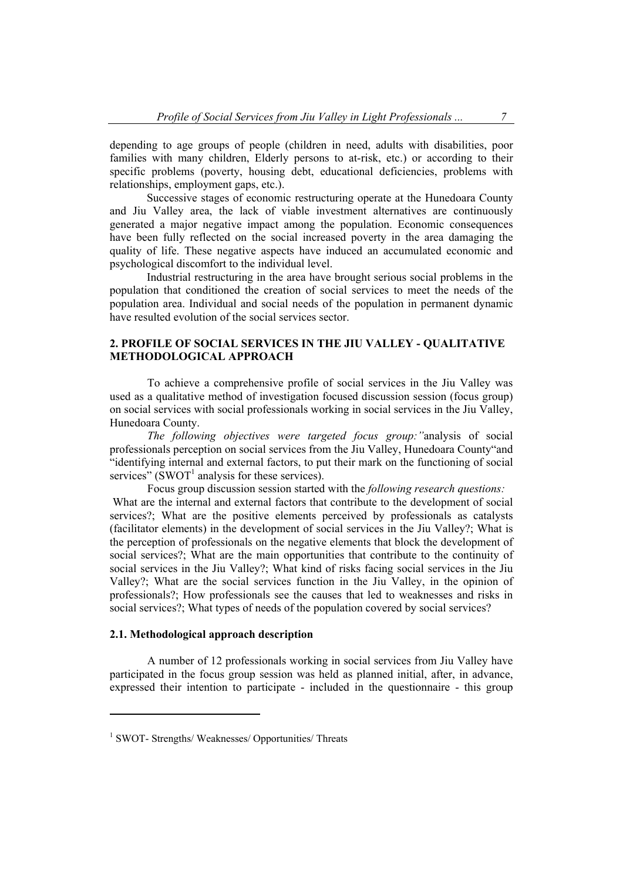depending to age groups of people (children in need, adults with disabilities, poor families with many children, Elderly persons to at-risk, etc.) or according to their specific problems (poverty, housing debt, educational deficiencies, problems with relationships, employment gaps, etc.).

Successive stages of economic restructuring operate at the Hunedoara County and Jiu Valley area, the lack of viable investment alternatives are continuously generated a major negative impact among the population. Economic consequences have been fully reflected on the social increased poverty in the area damaging the quality of life. These negative aspects have induced an accumulated economic and psychological discomfort to the individual level.

Industrial restructuring in the area have brought serious social problems in the population that conditioned the creation of social services to meet the needs of the population area. Individual and social needs of the population in permanent dynamic have resulted evolution of the social services sector.

## **2. PROFILE OF SOCIAL SERVICES IN THE JIU VALLEY - QUALITATIVE METHODOLOGICAL APPROACH**

To achieve a comprehensive profile of social services in the Jiu Valley was used as a qualitative method of investigation focused discussion session (focus group) on social services with social professionals working in social services in the Jiu Valley, Hunedoara County.

*The following objectives were targeted focus group:"*analysis of social professionals perception on social services from the Jiu Valley, Hunedoara County"and "identifying internal and external factors, to put their mark on the functioning of social services" ( $\text{SWOT}^1$  analysis for these services).

Focus group discussion session started with the *following research questions:*  What are the internal and external factors that contribute to the development of social services?; What are the positive elements perceived by professionals as catalysts (facilitator elements) in the development of social services in the Jiu Valley?; What is the perception of professionals on the negative elements that block the development of social services?; What are the main opportunities that contribute to the continuity of social services in the Jiu Valley?; What kind of risks facing social services in the Jiu Valley?; What are the social services function in the Jiu Valley, in the opinion of professionals?; How professionals see the causes that led to weaknesses and risks in social services?; What types of needs of the population covered by social services?

## **2.1. Methodological approach description**

 A number of 12 professionals working in social services from Jiu Valley have participated in the focus group session was held as planned initial, after, in advance, expressed their intention to participate - included in the questionnaire - this group

<sup>&</sup>lt;sup>1</sup> SWOT- Strengths/ Weaknesses/ Opportunities/ Threats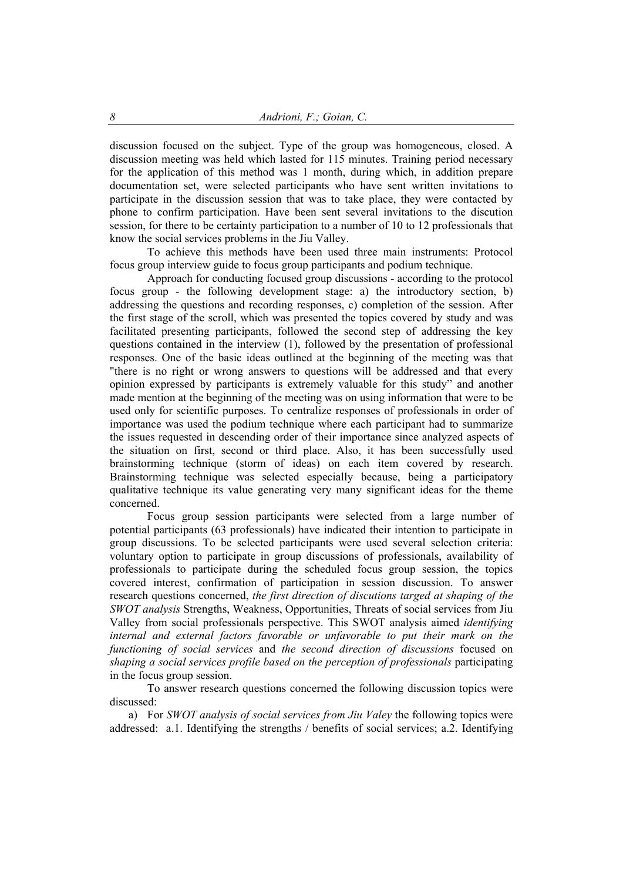discussion focused on the subject. Type of the group was homogeneous, closed. A discussion meeting was held which lasted for 115 minutes. Training period necessary for the application of this method was 1 month, during which, in addition prepare documentation set, were selected participants who have sent written invitations to participate in the discussion session that was to take place, they were contacted by phone to confirm participation. Have been sent several invitations to the discution session, for there to be certainty participation to a number of 10 to 12 professionals that know the social services problems in the Jiu Valley.

 To achieve this methods have been used three main instruments: Protocol focus group interview guide to focus group participants and podium technique.

 Approach for conducting focused group discussions - according to the protocol focus group - the following development stage: a) the introductory section, b) addressing the questions and recording responses, c) completion of the session. After the first stage of the scroll, which was presented the topics covered by study and was facilitated presenting participants, followed the second step of addressing the key questions contained in the interview (1), followed by the presentation of professional responses. One of the basic ideas outlined at the beginning of the meeting was that "there is no right or wrong answers to questions will be addressed and that every opinion expressed by participants is extremely valuable for this study" and another made mention at the beginning of the meeting was on using information that were to be used only for scientific purposes. To centralize responses of professionals in order of importance was used the podium technique where each participant had to summarize the issues requested in descending order of their importance since analyzed aspects of the situation on first, second or third place. Also, it has been successfully used brainstorming technique (storm of ideas) on each item covered by research. Brainstorming technique was selected especially because, being a participatory qualitative technique its value generating very many significant ideas for the theme concerned.

 Focus group session participants were selected from a large number of potential participants (63 professionals) have indicated their intention to participate in group discussions. To be selected participants were used several selection criteria: voluntary option to participate in group discussions of professionals, availability of professionals to participate during the scheduled focus group session, the topics covered interest, confirmation of participation in session discussion. To answer research questions concerned, *the first direction of discutions targed at shaping of the SWOT analysis* Strengths, Weakness, Opportunities, Threats of social services from Jiu Valley from social professionals perspective. This SWOT analysis aimed *identifying internal and external factors favorable or unfavorable to put their mark on the functioning of social services* and *the second direction of discussions* focused on *shaping a social services profile based on the perception of professionals* participating in the focus group session.

 To answer research questions concerned the following discussion topics were discussed:

a) For *SWOT analysis of social services from Jiu Valey* the following topics were addressed: a.1. Identifying the strengths / benefits of social services; a.2. Identifying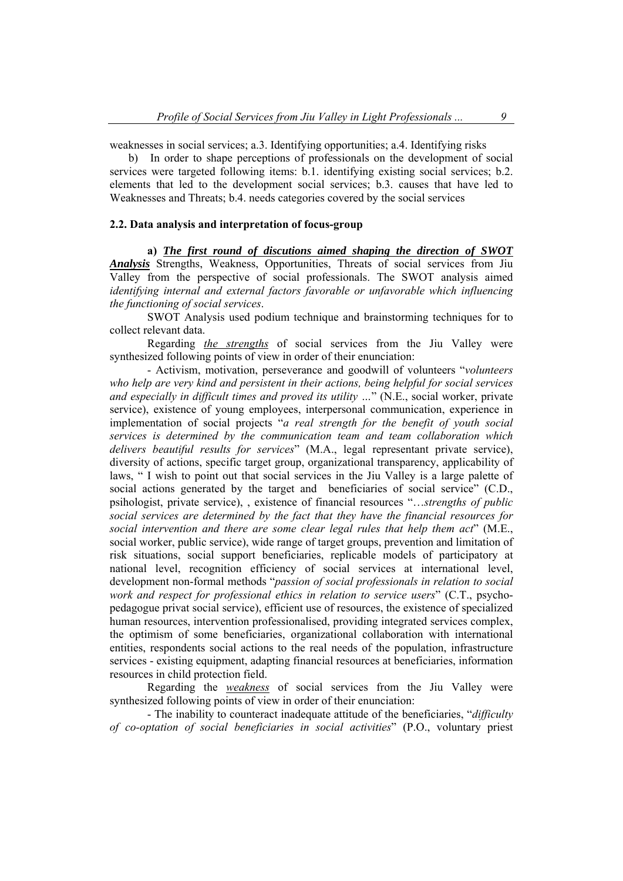weaknesses in social services; a.3. Identifying opportunities; a.4. Identifying risks

b) In order to shape perceptions of professionals on the development of social services were targeted following items: b.1. identifying existing social services; b.2. elements that led to the development social services; b.3. causes that have led to Weaknesses and Threats; b.4. needs categories covered by the social services

## **2.2. Data analysis and interpretation of focus-group**

 **a)** *The first round of discutions aimed shaping the direction of SWOT Analysis* Strengths, Weakness, Opportunities, Threats of social services from Jiu Valley from the perspective of social professionals. The SWOT analysis aimed *identifying internal and external factors favorable or unfavorable which influencing the functioning of social services*.

 SWOT Analysis used podium technique and brainstorming techniques for to collect relevant data.

 Regarding *the strengths* of social services from the Jiu Valley were synthesized following points of view in order of their enunciation:

 - Activism, motivation, perseverance and goodwill of volunteers "*volunteers who help are very kind and persistent in their actions, being helpful for social services and especially in difficult times and proved its utility …*" (N.E., social worker, private service), existence of young employees, interpersonal communication, experience in implementation of social projects "*a real strength for the benefit of youth social services is determined by the communication team and team collaboration which delivers beautiful results for services*" (M.A., legal representant private service), diversity of actions, specific target group, organizational transparency, applicability of laws, " I wish to point out that social services in the Jiu Valley is a large palette of social actions generated by the target and beneficiaries of social service" (C.D., psihologist, private service), , existence of financial resources "…*strengths of public social services are determined by the fact that they have the financial resources for social intervention and there are some clear legal rules that help them act*" (M.E., social worker, public service), wide range of target groups, prevention and limitation of risk situations, social support beneficiaries, replicable models of participatory at national level, recognition efficiency of social services at international level, development non-formal methods "*passion of social professionals in relation to social work and respect for professional ethics in relation to service users*" (C.T., psychopedagogue privat social service), efficient use of resources, the existence of specialized human resources, intervention professionalised, providing integrated services complex, the optimism of some beneficiaries, organizational collaboration with international entities, respondents social actions to the real needs of the population, infrastructure services - existing equipment, adapting financial resources at beneficiaries, information resources in child protection field.

 Regarding the *weakness* of social services from the Jiu Valley were synthesized following points of view in order of their enunciation:

 - The inability to counteract inadequate attitude of the beneficiaries, "*difficulty of co-optation of social beneficiaries in social activities*" (P.O., voluntary priest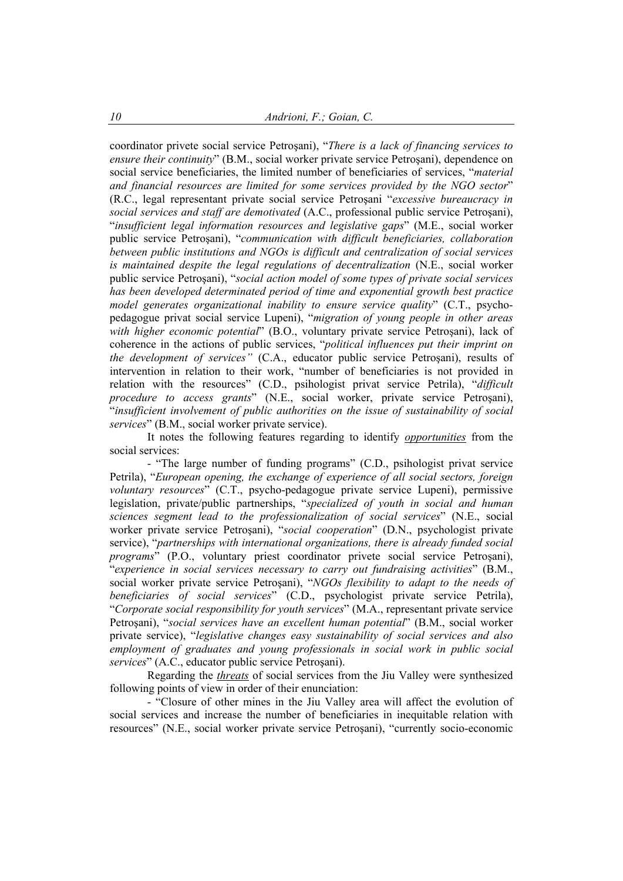coordinator privete social service Petroşani), "*There is a lack of financing services to ensure their continuity*" (B.M., social worker private service Petroşani), dependence on social service beneficiaries, the limited number of beneficiaries of services, "*material and financial resources are limited for some services provided by the NGO sector*" (R.C., legal representant private social service Petroşani "*excessive bureaucracy in social services and staff are demotivated* (A.C., professional public service Petroşani), "*insufficient legal information resources and legislative gaps*" (M.E., social worker public service Petroşani), "*communication with difficult beneficiaries, collaboration between public institutions and NGOs is difficult and centralization of social services is maintained despite the legal regulations of decentralization* (N.E., social worker public service Petroşani), "*social action model of some types of private social services has been developed determinated period of time and exponential growth best practice model generates organizational inability to ensure service quality*" (C.T., psychopedagogue privat social service Lupeni), "*migration of young people in other areas with higher economic potential*" (B.O., voluntary private service Petroşani), lack of coherence in the actions of public services, "*political influences put their imprint on the development of services"* (C.A., educator public service Petroşani), results of intervention in relation to their work, "number of beneficiaries is not provided in relation with the resources" (C.D., psihologist privat service Petrila), "*difficult procedure to access grants*" (N.E., social worker, private service Petroşani), "*insufficient involvement of public authorities on the issue of sustainability of social services*" (B.M., social worker private service).

 It notes the following features regarding to identify *opportunities* from the social services:

 - "The large number of funding programs" (C.D., psihologist privat service Petrila), "*European opening, the exchange of experience of all social sectors, foreign voluntary resources*" (C.T., psycho-pedagogue private service Lupeni), permissive legislation, private/public partnerships, "*specialized of youth in social and human sciences segment lead to the professionalization of social services*" (N.E., social worker private service Petroşani), "*social cooperation*" (D.N., psychologist private service), "*partnerships with international organizations, there is already funded social programs*" (P.O., voluntary priest coordinator privete social service Petroşani), "*experience in social services necessary to carry out fundraising activities*" (B.M., social worker private service Petroşani), "*NGOs flexibility to adapt to the needs of beneficiaries of social services*" (C.D., psychologist private service Petrila), "*Corporate social responsibility for youth services*" (M.A., representant private service Petroşani), "*social services have an excellent human potential*" (B.M., social worker private service), "*legislative changes easy sustainability of social services and also employment of graduates and young professionals in social work in public social services*" (A.C., educator public service Petroşani).

 Regarding the *threats* of social services from the Jiu Valley were synthesized following points of view in order of their enunciation:

 - "Closure of other mines in the Jiu Valley area will affect the evolution of social services and increase the number of beneficiaries in inequitable relation with resources" (N.E., social worker private service Petroşani), "currently socio-economic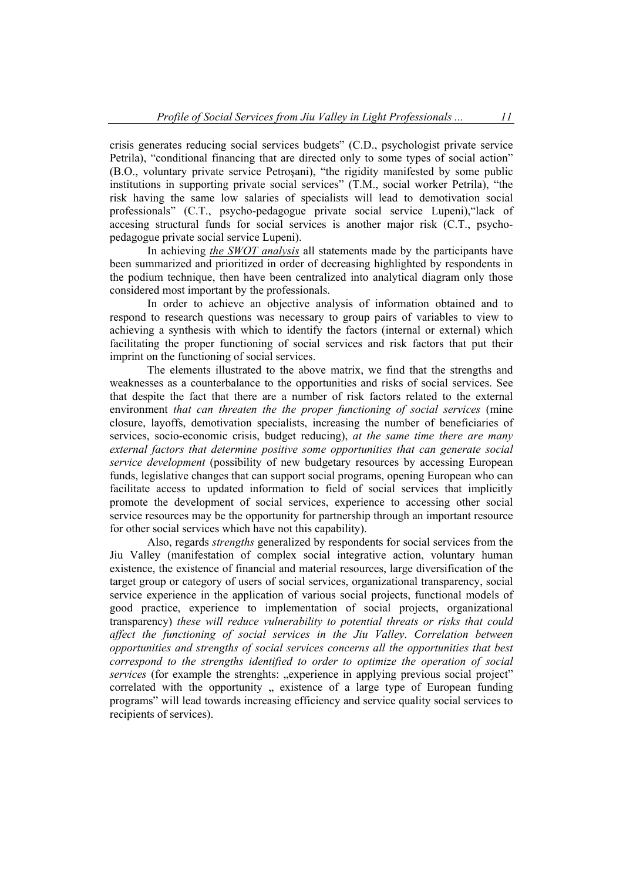crisis generates reducing social services budgets" (C.D., psychologist private service Petrila), "conditional financing that are directed only to some types of social action" (B.O., voluntary private service Petroşani), "the rigidity manifested by some public institutions in supporting private social services" (T.M., social worker Petrila), "the risk having the same low salaries of specialists will lead to demotivation social professionals" (C.T., psycho-pedagogue private social service Lupeni),"lack of accesing structural funds for social services is another major risk (C.T., psychopedagogue private social service Lupeni).

 In achieving *the SWOT analysis* all statements made by the participants have been summarized and prioritized in order of decreasing highlighted by respondents in the podium technique, then have been centralized into analytical diagram only those considered most important by the professionals.

 In order to achieve an objective analysis of information obtained and to respond to research questions was necessary to group pairs of variables to view to achieving a synthesis with which to identify the factors (internal or external) which facilitating the proper functioning of social services and risk factors that put their imprint on the functioning of social services.

 The elements illustrated to the above matrix, we find that the strengths and weaknesses as a counterbalance to the opportunities and risks of social services. See that despite the fact that there are a number of risk factors related to the external environment *that can threaten the the proper functioning of social services* (mine closure, layoffs, demotivation specialists, increasing the number of beneficiaries of services, socio-economic crisis, budget reducing), *at the same time there are many external factors that determine positive some opportunities that can generate social service development* (possibility of new budgetary resources by accessing European funds, legislative changes that can support social programs, opening European who can facilitate access to updated information to field of social services that implicitly promote the development of social services, experience to accessing other social service resources may be the opportunity for partnership through an important resource for other social services which have not this capability).

 Also, regards *strengths* generalized by respondents for social services from the Jiu Valley (manifestation of complex social integrative action, voluntary human existence, the existence of financial and material resources, large diversification of the target group or category of users of social services, organizational transparency, social service experience in the application of various social projects, functional models of good practice, experience to implementation of social projects, organizational transparency) *these will reduce vulnerability to potential threats or risks that could affect the functioning of social services in the Jiu Valley*. *Correlation between opportunities and strengths of social services concerns all the opportunities that best correspond to the strengths identified to order to optimize the operation of social services* (for example the strenghts: "experience in applying previous social project" correlated with the opportunity, existence of a large type of European funding programs" will lead towards increasing efficiency and service quality social services to recipients of services).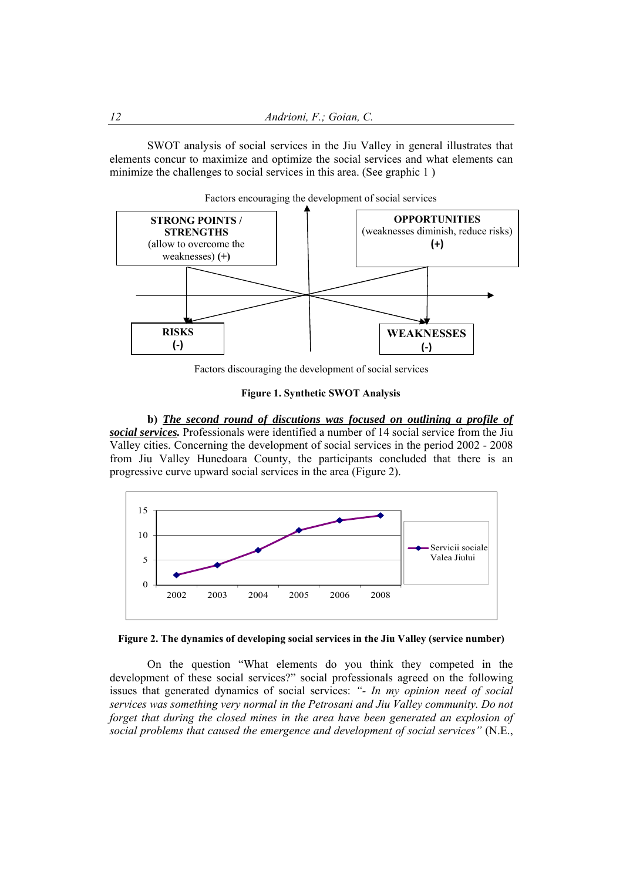SWOT analysis of social services in the Jiu Valley in general illustrates that elements concur to maximize and optimize the social services and what elements can minimize the challenges to social services in this area. (See graphic 1)



Factors encouraging the development of social services

Factors discouraging the development of social services

### **Figure 1. Synthetic SWOT Analysis**

 **b)** *The second round of discutions was focused on outlining a profile of social services.* Professionals were identified a number of 14 social service from the Jiu Valley cities. Concerning the development of social services in the period 2002 - 2008 from Jiu Valley Hunedoara County, the participants concluded that there is an progressive curve upward social services in the area (Figure 2).





On the question "What elements do you think they competed in the development of these social services?" social professionals agreed on the following issues that generated dynamics of social services: *"- In my opinion need of social services was something very normal in the Petrosani and Jiu Valley community. Do not forget that during the closed mines in the area have been generated an explosion of social problems that caused the emergence and development of social services"* (N.E.,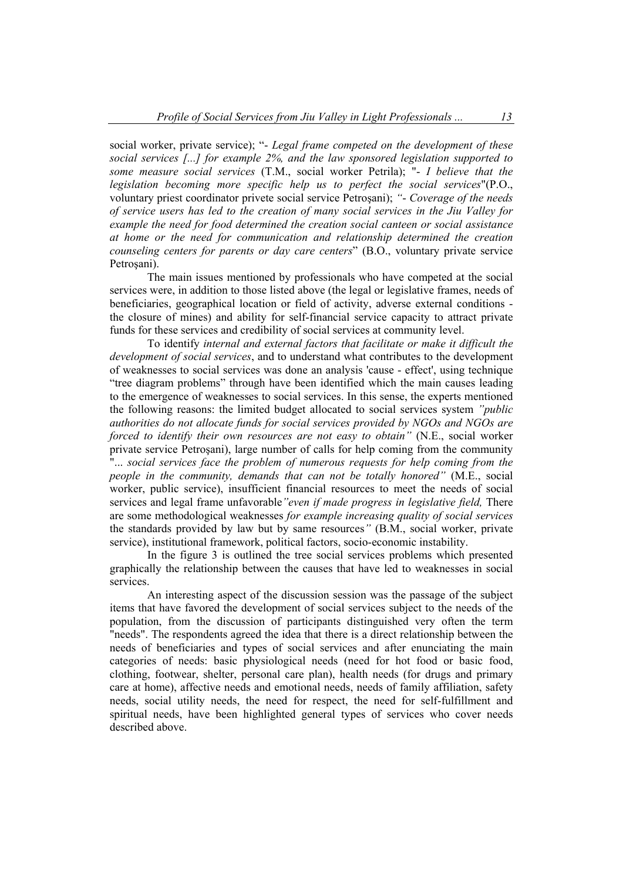social worker, private service); "- *Legal frame competed on the development of these social services [...] for example 2%, and the law sponsored legislation supported to some measure social services* (T.M., social worker Petrila); "- *I believe that the legislation becoming more specific help us to perfect the social services*"(P.O., voluntary priest coordinator privete social service Petroşani); *"*- *Coverage of the needs of service users has led to the creation of many social services in the Jiu Valley for example the need for food determined the creation social canteen or social assistance at home or the need for communication and relationship determined the creation counseling centers for parents or day care centers*" (B.O., voluntary private service Petrosani).

 The main issues mentioned by professionals who have competed at the social services were, in addition to those listed above (the legal or legislative frames, needs of beneficiaries, geographical location or field of activity, adverse external conditions the closure of mines) and ability for self-financial service capacity to attract private funds for these services and credibility of social services at community level.

 To identify *internal and external factors that facilitate or make it difficult the development of social services*, and to understand what contributes to the development of weaknesses to social services was done an analysis 'cause - effect', using technique "tree diagram problems" through have been identified which the main causes leading to the emergence of weaknesses to social services. In this sense, the experts mentioned the following reasons: the limited budget allocated to social services system *"public authorities do not allocate funds for social services provided by NGOs and NGOs are forced to identify their own resources are not easy to obtain"* (N.E., social worker private service Petroşani), large number of calls for help coming from the community "... *social services face the problem of numerous requests for help coming from the people in the community, demands that can not be totally honored"* (M.E., social worker, public service), insufficient financial resources to meet the needs of social services and legal frame unfavorable*"even if made progress in legislative field,* There are some methodological weaknesses *for example increasing quality of social services*  the standards provided by law but by same resources*"* (B.M., social worker, private service), institutional framework, political factors, socio-economic instability.

 In the figure 3 is outlined the tree social services problems which presented graphically the relationship between the causes that have led to weaknesses in social services.

 An interesting aspect of the discussion session was the passage of the subject items that have favored the development of social services subject to the needs of the population, from the discussion of participants distinguished very often the term "needs". The respondents agreed the idea that there is a direct relationship between the needs of beneficiaries and types of social services and after enunciating the main categories of needs: basic physiological needs (need for hot food or basic food, clothing, footwear, shelter, personal care plan), health needs (for drugs and primary care at home), affective needs and emotional needs, needs of family affiliation, safety needs, social utility needs, the need for respect, the need for self-fulfillment and spiritual needs, have been highlighted general types of services who cover needs described above.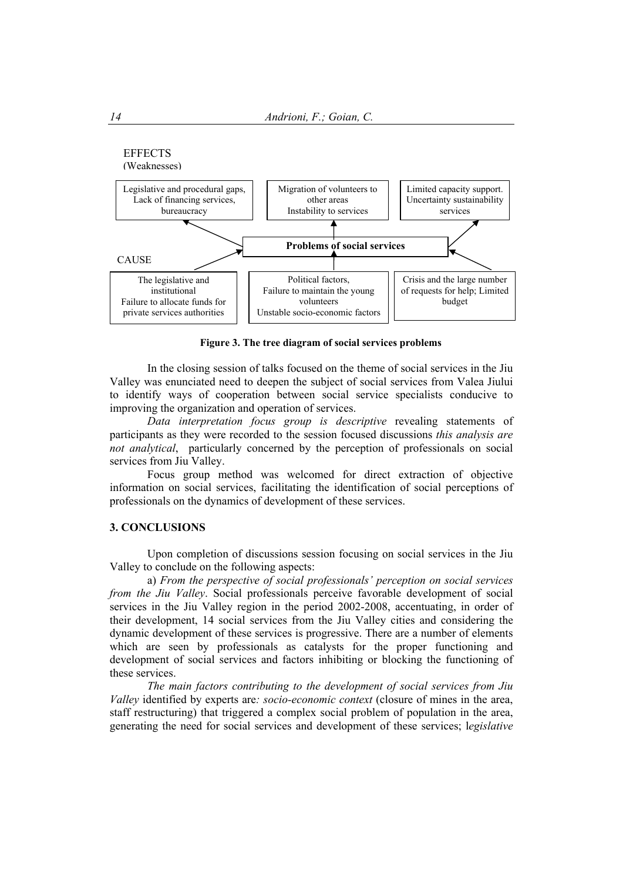

**Figure 3. The tree diagram of social services problems** 

 In the closing session of talks focused on the theme of social services in the Jiu Valley was enunciated need to deepen the subject of social services from Valea Jiului to identify ways of cooperation between social service specialists conducive to improving the organization and operation of services.

 *Data interpretation focus group is descriptive* revealing statements of participants as they were recorded to the session focused discussions *this analysis are not analytical*, particularly concerned by the perception of professionals on social services from Jiu Valley.

 Focus group method was welcomed for direct extraction of objective information on social services, facilitating the identification of social perceptions of professionals on the dynamics of development of these services.

## **3. CONCLUSIONS**

 Upon completion of discussions session focusing on social services in the Jiu Valley to conclude on the following aspects:

 a) *From the perspective of social professionals' perception on social services from the Jiu Valley*. Social professionals perceive favorable development of social services in the Jiu Valley region in the period 2002-2008, accentuating, in order of their development, 14 social services from the Jiu Valley cities and considering the dynamic development of these services is progressive. There are a number of elements which are seen by professionals as catalysts for the proper functioning and development of social services and factors inhibiting or blocking the functioning of these services.

 *The main factors contributing to the development of social services from Jiu Valley* identified by experts are*: socio-economic context* (closure of mines in the area, staff restructuring) that triggered a complex social problem of population in the area, generating the need for social services and development of these services; l*egislative*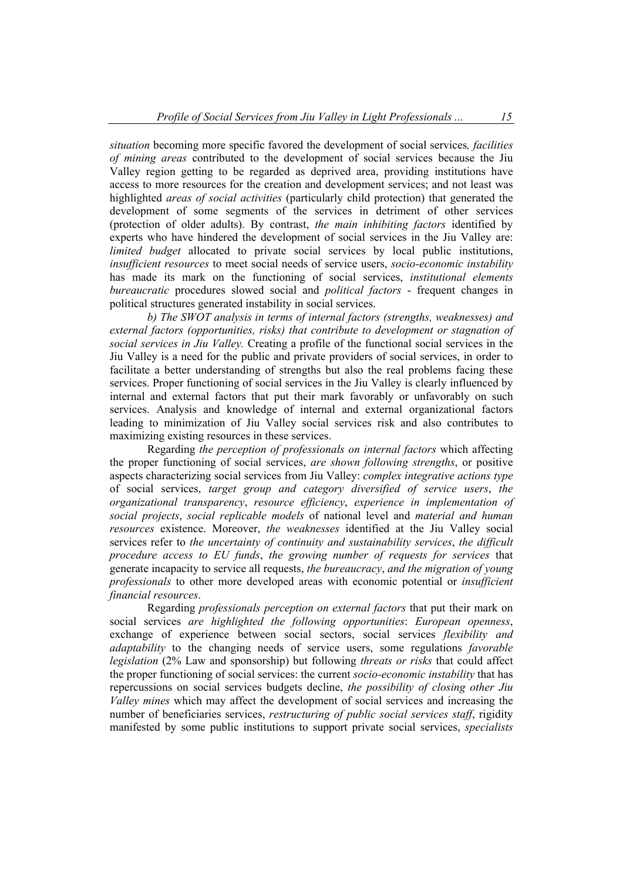*situation* becoming more specific favored the development of social services*, facilities of mining areas* contributed to the development of social services because the Jiu Valley region getting to be regarded as deprived area, providing institutions have access to more resources for the creation and development services; and not least was highlighted *areas of social activities* (particularly child protection) that generated the development of some segments of the services in detriment of other services (protection of older adults). By contrast, *the main inhibiting factors* identified by experts who have hindered the development of social services in the Jiu Valley are: *limited budget* allocated to private social services by local public institutions, *insufficient resources* to meet social needs of service users, *socio-economic instability* has made its mark on the functioning of social services, *institutional elements bureaucratic* procedures slowed social and *political factors* - frequent changes in political structures generated instability in social services.

 *b) The SWOT analysis in terms of internal factors (strengths, weaknesses) and external factors (opportunities, risks) that contribute to development or stagnation of social services in Jiu Valley.* Creating a profile of the functional social services in the Jiu Valley is a need for the public and private providers of social services, in order to facilitate a better understanding of strengths but also the real problems facing these services. Proper functioning of social services in the Jiu Valley is clearly influenced by internal and external factors that put their mark favorably or unfavorably on such services. Analysis and knowledge of internal and external organizational factors leading to minimization of Jiu Valley social services risk and also contributes to maximizing existing resources in these services.

 Regarding *the perception of professionals on internal factors* which affecting the proper functioning of social services, *are shown following strengths*, or positive aspects characterizing social services from Jiu Valley: *complex integrative actions type* of social services, *target group and category diversified of service users*, *the organizational transparency*, *resource efficiency*, *experience in implementation of social projects*, *social replicable models* of national level and *material and human resources* existence. Moreover, *the weaknesses* identified at the Jiu Valley social services refer to *the uncertainty of continuity and sustainability services*, *the difficult procedure access to EU funds*, *the growing number of requests for services* that generate incapacity to service all requests, *the bureaucracy*, *and the migration of young professionals* to other more developed areas with economic potential or *insufficient financial resources*.

 Regarding *professionals perception on external factors* that put their mark on social services *are highlighted the following opportunities*: *European openness*, exchange of experience between social sectors, social services *flexibility and adaptability* to the changing needs of service users, some regulations *favorable legislation* (2% Law and sponsorship) but following *threats or risks* that could affect the proper functioning of social services: the current *socio-economic instability* that has repercussions on social services budgets decline, *the possibility of closing other Jiu Valley mines* which may affect the development of social services and increasing the number of beneficiaries services, *restructuring of public social services staff*, rigidity manifested by some public institutions to support private social services, *specialists*